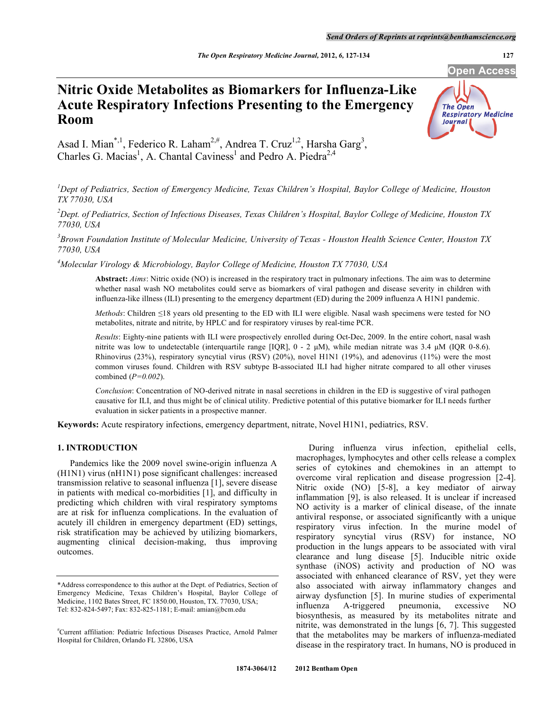**Open Access** 

# **Nitric Oxide Metabolites as Biomarkers for Influenza-Like Acute Respiratory Infections Presenting to the Emergency Room**



Asad I. Mian<sup>\*,1</sup>, Federico R. Laham<sup>2,#</sup>, Andrea T. Cruz<sup>1,2</sup>, Harsha Garg<sup>3</sup>, Charles G. Macias<sup>1</sup>, A. Chantal Caviness<sup>1</sup> and Pedro A. Piedra<sup>2,4</sup>

<sup>1</sup> Dept of Pediatrics, Section of Emergency Medicine, Texas Children's Hospital, Baylor College of Medicine, Houston *TX 77030, USA* 

*2 Dept. of Pediatrics, Section of Infectious Diseases, Texas Children's Hospital, Baylor College of Medicine, Houston TX 77030, USA* 

*3 Brown Foundation Institute of Molecular Medicine, University of Texas - Houston Health Science Center, Houston TX 77030, USA* 

*4 Molecular Virology & Microbiology, Baylor College of Medicine, Houston TX 77030, USA* 

**Abstract:** *Aims*: Nitric oxide (NO) is increased in the respiratory tract in pulmonary infections. The aim was to determine whether nasal wash NO metabolites could serve as biomarkers of viral pathogen and disease severity in children with influenza-like illness (ILI) presenting to the emergency department (ED) during the 2009 influenza A H1N1 pandemic.

*Methods*: Children  $\leq$ 18 years old presenting to the ED with ILI were eligible. Nasal wash specimens were tested for NO metabolites, nitrate and nitrite, by HPLC and for respiratory viruses by real-time PCR.

*Results*: Eighty-nine patients with ILI were prospectively enrolled during Oct-Dec, 2009. In the entire cohort, nasal wash nitrite was low to undetectable (interquartile range [IQR], 0 - 2 μM), while median nitrate was 3.4 μM (IQR 0-8.6). Rhinovirus (23%), respiratory syncytial virus (RSV) (20%), novel H1N1 (19%), and adenovirus (11%) were the most common viruses found. Children with RSV subtype B-associated ILI had higher nitrate compared to all other viruses combined (*P=0.002*).

*Conclusion*: Concentration of NO-derived nitrate in nasal secretions in children in the ED is suggestive of viral pathogen causative for ILI, and thus might be of clinical utility. Predictive potential of this putative biomarker for ILI needs further evaluation in sicker patients in a prospective manner.

**Keywords:** Acute respiratory infections, emergency department, nitrate, Novel H1N1, pediatrics, RSV.

# **1. INTRODUCTION**

 Pandemics like the 2009 novel swine-origin influenza A (H1N1) virus (nH1N1) pose significant challenges: increased transmission relative to seasonal influenza [1], severe disease in patients with medical co-morbidities [1], and difficulty in predicting which children with viral respiratory symptoms are at risk for influenza complications. In the evaluation of acutely ill children in emergency department (ED) settings, risk stratification may be achieved by utilizing biomarkers, augmenting clinical decision-making, thus improving outcomes.

 During influenza virus infection, epithelial cells, macrophages, lymphocytes and other cells release a complex series of cytokines and chemokines in an attempt to overcome viral replication and disease progression [2-4]. Nitric oxide (NO) [5-8], a key mediator of airway inflammation [9], is also released. It is unclear if increased NO activity is a marker of clinical disease, of the innate antiviral response, or associated significantly with a unique respiratory virus infection. In the murine model of respiratory syncytial virus (RSV) for instance, NO production in the lungs appears to be associated with viral clearance and lung disease [5]. Inducible nitric oxide synthase (iNOS) activity and production of NO was associated with enhanced clearance of RSV, yet they were also associated with airway inflammatory changes and airway dysfunction [5]. In murine studies of experimental influenza A-triggered pneumonia, excessive NO biosynthesis, as measured by its metabolites nitrate and nitrite, was demonstrated in the lungs [6, 7]. This suggested that the metabolites may be markers of influenza-mediated disease in the respiratory tract. In humans, NO is produced in

<sup>\*</sup>Address correspondence to this author at the Dept. of Pediatrics, Section of Emergency Medicine, Texas Children's Hospital, Baylor College of Medicine, 1102 Bates Street, FC 1850.00, Houston, TX. 77030, USA; Tel: 832-824-5497; Fax: 832-825-1181; E-mail: amian@bcm.edu

<sup>#</sup> Current affiliation: Pediatric Infectious Diseases Practice, Arnold Palmer Hospital for Children, Orlando FL 32806, USA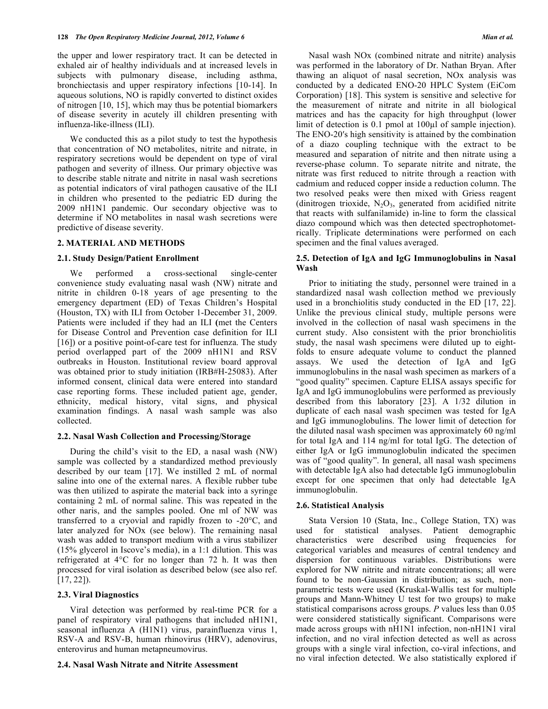the upper and lower respiratory tract. It can be detected in exhaled air of healthy individuals and at increased levels in subjects with pulmonary disease, including asthma, bronchiectasis and upper respiratory infections [10-14]. In aqueous solutions, NO is rapidly converted to distinct oxides of nitrogen [10, 15], which may thus be potential biomarkers of disease severity in acutely ill children presenting with influenza-like-illness (ILI).

 We conducted this as a pilot study to test the hypothesis that concentration of NO metabolites, nitrite and nitrate, in respiratory secretions would be dependent on type of viral pathogen and severity of illness. Our primary objective was to describe stable nitrate and nitrite in nasal wash secretions as potential indicators of viral pathogen causative of the ILI in children who presented to the pediatric ED during the 2009 nH1N1 pandemic. Our secondary objective was to determine if NO metabolites in nasal wash secretions were predictive of disease severity.

# **2. MATERIAL AND METHODS**

#### **2.1. Study Design/Patient Enrollment**

 We performed a cross-sectional single-center convenience study evaluating nasal wash (NW) nitrate and nitrite in children 0-18 years of age presenting to the emergency department (ED) of Texas Children's Hospital (Houston, TX) with ILI from October 1-December 31, 2009. Patients were included if they had an ILI **(**met the Centers for Disease Control and Prevention case definition for ILI [16]) or a positive point-of-care test for influenza. The study period overlapped part of the 2009 nH1N1 and RSV outbreaks in Houston. Institutional review board approval was obtained prior to study initiation (IRB#H-25083). After informed consent, clinical data were entered into standard case reporting forms. These included patient age, gender, ethnicity, medical history, vital signs, and physical examination findings. A nasal wash sample was also collected.

#### **2.2. Nasal Wash Collection and Processing/Storage**

 During the child's visit to the ED, a nasal wash (NW) sample was collected by a standardized method previously described by our team [17]. We instilled 2 mL of normal saline into one of the external nares. A flexible rubber tube was then utilized to aspirate the material back into a syringe containing 2 mL of normal saline. This was repeated in the other naris, and the samples pooled. One ml of NW was transferred to a cryovial and rapidly frozen to -20°C, and later analyzed for NOx (see below). The remaining nasal wash was added to transport medium with a virus stabilizer (15% glycerol in Iscove's media), in a 1:1 dilution. This was refrigerated at 4°C for no longer than 72 h. It was then processed for viral isolation as described below (see also ref. [17, 22]).

### **2.3. Viral Diagnostics**

 Viral detection was performed by real-time PCR for a panel of respiratory viral pathogens that included nH1N1, seasonal influenza A (H1N1) virus, parainfluenza virus 1, RSV-A and RSV-B, human rhinovirus (HRV), adenovirus, enterovirus and human metapneumovirus.

#### **2.4. Nasal Wash Nitrate and Nitrite Assessment**

 Nasal wash NOx (combined nitrate and nitrite) analysis was performed in the laboratory of Dr. Nathan Bryan. After thawing an aliquot of nasal secretion, NOx analysis was conducted by a dedicated ENO-20 HPLC System (EiCom Corporation) [18]. This system is sensitive and selective for the measurement of nitrate and nitrite in all biological matrices and has the capacity for high throughput (lower limit of detection is  $0.1$  pmol at  $100\mu$  of sample injection). The ENO-20's high sensitivity is attained by the combination of a diazo coupling technique with the extract to be measured and separation of nitrite and then nitrate using a reverse-phase column. To separate nitrite and nitrate, the nitrate was first reduced to nitrite through a reaction with cadmium and reduced copper inside a reduction column. The two resolved peaks were then mixed with Griess reagent (dinitrogen trioxide,  $N_2O_3$ , generated from acidified nitrite that reacts with sulfanilamide) in-line to form the classical diazo compound which was then detected spectrophotometrically. Triplicate determinations were performed on each specimen and the final values averaged.

# **2.5. Detection of IgA and IgG Immunoglobulins in Nasal Wash**

 Prior to initiating the study, personnel were trained in a standardized nasal wash collection method we previously used in a bronchiolitis study conducted in the ED [17, 22]. Unlike the previous clinical study, multiple persons were involved in the collection of nasal wash specimens in the current study. Also consistent with the prior bronchiolitis study, the nasal wash specimens were diluted up to eightfolds to ensure adequate volume to conduct the planned assays. We used the detection of IgA and IgG immunoglobulins in the nasal wash specimen as markers of a "good quality" specimen. Capture ELISA assays specific for IgA and IgG immunoglobulins were performed as previously described from this laboratory [23]. A 1/32 dilution in duplicate of each nasal wash specimen was tested for IgA and IgG immunoglobulins. The lower limit of detection for the diluted nasal wash specimen was approximately 60 ng/ml for total IgA and 114 ng/ml for total IgG. The detection of either IgA or IgG immunoglobulin indicated the specimen was of "good quality". In general, all nasal wash specimens with detectable IgA also had detectable IgG immunoglobulin except for one specimen that only had detectable IgA immunoglobulin.

#### **2.6. Statistical Analysis**

 Stata Version 10 (Stata, Inc., College Station, TX) was used for statistical analyses. Patient demographic characteristics were described using frequencies for categorical variables and measures of central tendency and dispersion for continuous variables. Distributions were explored for NW nitrite and nitrate concentrations; all were found to be non-Gaussian in distribution; as such, nonparametric tests were used (Kruskal-Wallis test for multiple groups and Mann-Whitney U test for two groups) to make statistical comparisons across groups. *P* values less than 0.05 were considered statistically significant. Comparisons were made across groups with nH1N1 infection, non-nH1N1 viral infection, and no viral infection detected as well as across groups with a single viral infection, co-viral infections, and no viral infection detected. We also statistically explored if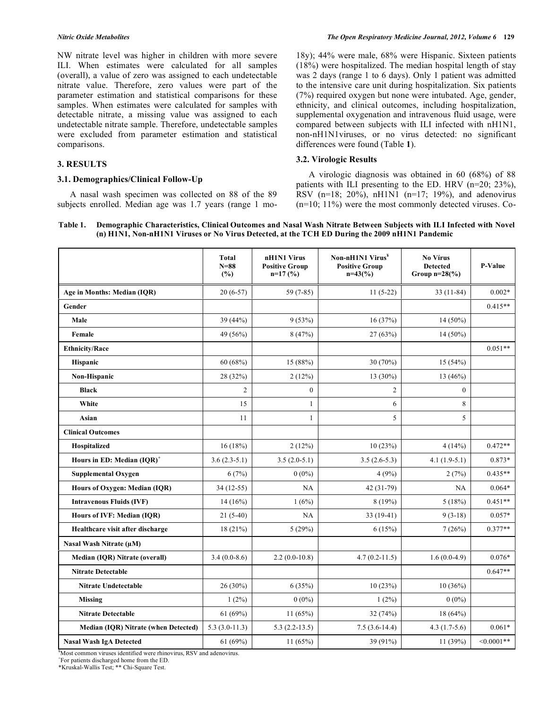NW nitrate level was higher in children with more severe ILI. When estimates were calculated for all samples (overall), a value of zero was assigned to each undetectable nitrate value. Therefore, zero values were part of the parameter estimation and statistical comparisons for these samples. When estimates were calculated for samples with detectable nitrate, a missing value was assigned to each undetectable nitrate sample. Therefore, undetectable samples were excluded from parameter estimation and statistical comparisons.

# **3. RESULTS**

#### **3.1. Demographics/Clinical Follow-Up**

 A nasal wash specimen was collected on 88 of the 89 subjects enrolled. Median age was 1.7 years (range 1 mo18y); 44% were male, 68% were Hispanic. Sixteen patients (18%) were hospitalized. The median hospital length of stay was 2 days (range 1 to 6 days). Only 1 patient was admitted to the intensive care unit during hospitalization. Six patients (7%) required oxygen but none were intubated. Age, gender, ethnicity, and clinical outcomes, including hospitalization, supplemental oxygenation and intravenous fluid usage, were compared between subjects with ILI infected with nH1N1, non-nH1N1viruses, or no virus detected: no significant differences were found (Table **1**).

### **3.2. Virologic Results**

 A virologic diagnosis was obtained in 60 (68%) of 88 patients with ILI presenting to the ED. HRV (n=20; 23%), RSV (n=18; 20%), nH1N1 (n=17; 19%), and adenovirus (n=10; 11%) were the most commonly detected viruses. Co-

# **Table 1. Demographic Characteristics, Clinical Outcomes and Nasal Wash Nitrate Between Subjects with ILI Infected with Novel (n) H1N1, Non-nH1N1 Viruses or No Virus Detected, at the TCH ED During the 2009 nH1N1 Pandemic**

|                                             | <b>Total</b><br>$N=88$<br>(%) | nH1N1 Virus<br><b>Positive Group</b><br>$n=17(%)$ | Non-nH1N1 Virus <sup>¥</sup><br><b>Positive Group</b><br>$n=43(%)$ | No Vírus<br><b>Detected</b><br>Group $n=28$ (%) | <b>P-Value</b> |
|---------------------------------------------|-------------------------------|---------------------------------------------------|--------------------------------------------------------------------|-------------------------------------------------|----------------|
| Age in Months: Median (IOR)                 | $20(6-57)$                    | $59(7-85)$                                        | $11(5-22)$                                                         | $33(11-84)$                                     | $0.002*$       |
| Gender                                      |                               |                                                   |                                                                    |                                                 | $0.415**$      |
| Male                                        | 39 (44%)                      | 9(53%)                                            | 16(37%)                                                            | 14 (50%)                                        |                |
| Female                                      | 49 (56%)                      | 8(47%)                                            | 27(63%)                                                            | 14 (50%)                                        |                |
| <b>Ethnicity/Race</b>                       |                               |                                                   |                                                                    |                                                 | $0.051**$      |
| Hispanic                                    | 60 (68%)                      | 15 (88%)                                          | 30(70%)                                                            | 15 (54%)                                        |                |
| Non-Hispanic                                | 28 (32%)                      | 2(12%)                                            | $13(30\%)$                                                         | 13 (46%)                                        |                |
| <b>Black</b>                                | $\overline{2}$                | $\boldsymbol{0}$                                  | $\overline{c}$                                                     | $\boldsymbol{0}$                                |                |
| White                                       | 15                            | $\mathbf{1}$                                      | 6                                                                  | 8                                               |                |
| Asian                                       | 11                            | $\mathbf{1}$                                      | 5                                                                  | 5                                               |                |
| <b>Clinical Outcomes</b>                    |                               |                                                   |                                                                    |                                                 |                |
| Hospitalized                                | 16(18%)                       | 2(12%)                                            | 10(23%)                                                            | 4(14%)                                          | $0.472**$      |
| Hours in ED: Median (IQR) <sup>+</sup>      | $3.6(2.3-5.1)$                | $3.5(2.0-5.1)$                                    | $3.5(2.6-5.3)$                                                     | $4.1(1.9-5.1)$                                  | 0.873*         |
| <b>Supplemental Oxygen</b>                  | 6(7%)                         | $0(0\%)$                                          | 4(9%)                                                              | 2(7%)                                           | $0.435**$      |
| Hours of Oxygen: Median (IQR)               | 34 (12-55)                    | NA                                                | 42 (31-79)                                                         | NA                                              | $0.064*$       |
| <b>Intravenous Fluids (IVF)</b>             | $14(16\%)$                    | 1(6%)                                             | 8(19%)                                                             | 5(18%)                                          | $0.451**$      |
| Hours of IVF: Median (IQR)                  | $21(5-40)$                    | NA                                                | $33(19-41)$                                                        | $9(3-18)$                                       | $0.057*$       |
| Healthcare visit after discharge            | 18(21%)                       | 5(29%)                                            | 6(15%)                                                             | 7(26%)                                          | $0.377**$      |
| Nasal Wash Nitrate (µM)                     |                               |                                                   |                                                                    |                                                 |                |
| Median (IQR) Nitrate (overall)              | $3.4(0.0-8.6)$                | $2.2(0.0-10.8)$                                   | $4.7(0.2 - 11.5)$                                                  | $1.6(0.0-4.9)$                                  | $0.076*$       |
| <b>Nitrate Detectable</b>                   |                               |                                                   |                                                                    |                                                 | $0.647**$      |
| <b>Nitrate Undetectable</b>                 | 26 (30%)                      | 6(35%)                                            | 10(23%)                                                            | 10(36%)                                         |                |
| <b>Missing</b>                              | $1(2\%)$                      | $0(0\%)$                                          | $1(2\%)$                                                           | $0(0\%)$                                        |                |
| <b>Nitrate Detectable</b>                   | 61 (69%)                      | 11(65%)                                           | 32(74%)                                                            | $18(64\%)$                                      |                |
| <b>Median (IQR) Nitrate (when Detected)</b> | $5.3(3.0-11.3)$               | $5.3(2.2-13.5)$                                   | $7.5(3.6-14.4)$                                                    | $4.3(1.7-5.6)$                                  | $0.061*$       |
| <b>Nasal Wash IgA Detected</b>              | 61 (69%)                      | 11(65%)                                           | 39 (91%)                                                           | 11 (39%)                                        | $< 0.0001$ **  |

¥ Most common viruses identified were rhinovirus, RSV and adenovirus.

+ For patients discharged home from the ED.

\*Kruskal-Wallis Test; \*\* Chi-Square Test.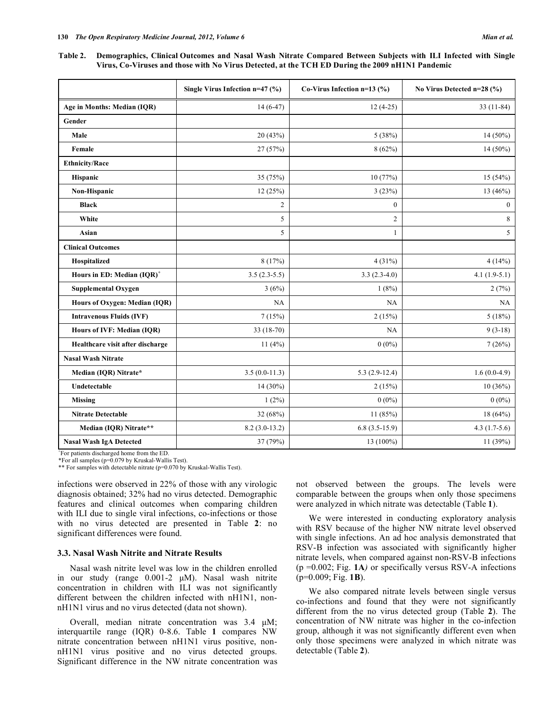**Table 2. Demographics, Clinical Outcomes and Nasal Wash Nitrate Compared Between Subjects with ILI Infected with Single Virus, Co-Viruses and those with No Virus Detected, at the TCH ED During the 2009 nH1N1 Pandemic** 

|                                        | Single Virus Infection n=47 (%) | Co-Virus Infection $n=13$ (%) | No Virus Detected n=28 (%) |
|----------------------------------------|---------------------------------|-------------------------------|----------------------------|
| Age in Months: Median (IQR)            | $14(6-47)$                      | $12(4-25)$                    | $33(11-84)$                |
| Gender                                 |                                 |                               |                            |
| Male                                   | 20 (43%)                        | 5(38%)                        | 14 (50%)                   |
| Female                                 | 27 (57%)                        | 8(62%)                        | $14(50\%)$                 |
| <b>Ethnicity/Race</b>                  |                                 |                               |                            |
| Hispanic                               | 35 (75%)                        | 10(77%)                       | 15(54%)                    |
| Non-Hispanic                           | 12(25%)                         | 3(23%)                        | 13 (46%)                   |
| <b>Black</b>                           | $\overline{c}$                  | $\boldsymbol{0}$              | $\boldsymbol{0}$           |
| White                                  | 5                               | $\overline{c}$                | 8                          |
| Asian                                  | 5                               |                               | 5                          |
| <b>Clinical Outcomes</b>               |                                 |                               |                            |
| Hospitalized                           | 8(17%)                          | 4(31%)                        | 4(14%)                     |
| Hours in ED: Median (IQR) <sup>+</sup> | $3.5(2.3-5.5)$                  | $3.3(2.3-4.0)$                | $4.1(1.9-5.1)$             |
| <b>Supplemental Oxygen</b>             | 3(6%)                           | 1(8%)                         | 2(7%)                      |
| Hours of Oxygen: Median (IQR)          | NA                              | NA                            | NA                         |
| <b>Intravenous Fluids (IVF)</b>        | 7(15%)                          | 2(15%)                        | 5(18%)                     |
| Hours of IVF: Median (IQR)             | 33 (18-70)                      | NA                            | $9(3-18)$                  |
| Healthcare visit after discharge       | 11(4%)                          | $0(0\%)$                      | 7(26%)                     |
| <b>Nasal Wash Nitrate</b>              |                                 |                               |                            |
| Median (IQR) Nitrate*                  | $3.5(0.0-11.3)$                 | $5.3(2.9-12.4)$               | $1.6(0.0-4.9)$             |
| Undetectable                           | 14 (30%)                        | 2(15%)                        | 10(36%)                    |
| <b>Missing</b>                         | $1(2\%)$                        | $0(0\%)$                      | $0(0\%)$                   |
| <b>Nitrate Detectable</b>              | 32 (68%)                        | 11(85%)                       | 18 (64%)                   |
| Median (IQR) Nitrate**                 | $8.2(3.0-13.2)$                 | $6.8(3.5-15.9)$               | 4.3 $(1.7-5.6)$            |
| <b>Nasal Wash IgA Detected</b>         | 37 (79%)                        | 13 (100%)                     | 11 (39%)                   |

+ For patients discharged home from the ED. \*For all samples (p=0.079 by Kruskal-Wallis Test).

\*\* For samples with detectable nitrate (p=0.070 by Kruskal-Wallis Test).

infections were observed in 22% of those with any virologic diagnosis obtained; 32% had no virus detected. Demographic features and clinical outcomes when comparing children with ILI due to single viral infections, co-infections or those with no virus detected are presented in Table **2**: no significant differences were found.

### **3.3. Nasal Wash Nitrite and Nitrate Results**

 Nasal wash nitrite level was low in the children enrolled in our study (range 0.001-2 μM). Nasal wash nitrite concentration in children with ILI was not significantly different between the children infected with nH1N1, nonnH1N1 virus and no virus detected (data not shown).

 Overall, median nitrate concentration was 3.4 μM; interquartile range (IQR) 0-8.6. Table **1** compares NW nitrate concentration between nH1N1 virus positive, nonnH1N1 virus positive and no virus detected groups. Significant difference in the NW nitrate concentration was not observed between the groups. The levels were comparable between the groups when only those specimens were analyzed in which nitrate was detectable (Table **1**).

 We were interested in conducting exploratory analysis with RSV because of the higher NW nitrate level observed with single infections. An ad hoc analysis demonstrated that RSV-B infection was associated with significantly higher nitrate levels, when compared against non-RSV-B infections (p =0.002; Fig. **1A***)* or specifically versus RSV-A infections (p=0.009; Fig. **1B**).

 We also compared nitrate levels between single versus co-infections and found that they were not significantly different from the no virus detected group (Table **2**). The concentration of NW nitrate was higher in the co-infection group, although it was not significantly different even when only those specimens were analyzed in which nitrate was detectable (Table **2**).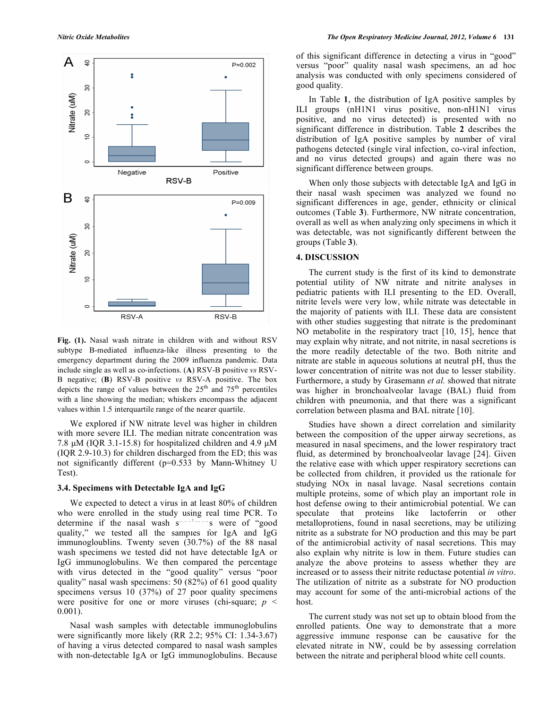

**Fig. (1).** Nasal wash nitrate in children with and without RSV subtype B-mediated influenza-like illness presenting to the emergency department during the 2009 influenza pandemic. Data include single as well as co-infections. (**A**) RSV-B positive *vs* RSV-B negative; (**B**) RSV-B positive *vs* RSV-A positive. The box depicts the range of values between the  $25<sup>th</sup>$  and  $75<sup>th</sup>$  percentiles with a line showing the median; whiskers encompass the adjacent values within 1.5 interquartile range of the nearer quartile.

 We explored if NW nitrate level was higher in children with more severe ILI. The median nitrate concentration was 7.8 μM (IQR 3.1-15.8) for hospitalized children and 4.9 μM (IQR 2.9-10.3) for children discharged from the ED; this was not significantly different (p=0.533 by Mann-Whitney U Test).

#### **3.4. Specimens with Detectable IgA and IgG**

 We expected to detect a virus in at least 80% of children who were enrolled in the study using real time PCR. To determine if the nasal wash s species of "good" quality," we tested all the samples for IgA and IgG immunogloublins. Twenty seven (30.7%) of the 88 nasal wash specimens we tested did not have detectable IgA or IgG immunoglobulins. We then compared the percentage with virus detected in the "good quality" versus "poor quality" nasal wash specimens: 50 (82%) of 61 good quality specimens versus 10 (37%) of 27 poor quality specimens were positive for one or more viruses (chi-square;  $p \leq$ 0.001).

 Nasal wash samples with detectable immunoglobulins were significantly more likely (RR 2.2; 95% CI: 1.34-3.67) of having a virus detected compared to nasal wash samples with non-detectable IgA or IgG immunoglobulins. Because

of this significant difference in detecting a virus in "good" versus "poor" quality nasal wash specimens, an ad hoc analysis was conducted with only specimens considered of good quality.

 In Table **1**, the distribution of IgA positive samples by ILI groups (nH1N1 virus positive, non-nH1N1 virus positive, and no virus detected) is presented with no significant difference in distribution. Table **2** describes the distribution of IgA positive samples by number of viral pathogens detected (single viral infection, co-viral infection, and no virus detected groups) and again there was no significant difference between groups.

 When only those subjects with detectable IgA and IgG in their nasal wash specimen was analyzed we found no significant differences in age, gender, ethnicity or clinical outcomes (Table **3**). Furthermore, NW nitrate concentration, overall as well as when analyzing only specimens in which it was detectable, was not significantly different between the groups (Table **3**).

# **4. DISCUSSION**

 The current study is the first of its kind to demonstrate potential utility of NW nitrate and nitrite analyses in pediatric patients with ILI presenting to the ED. Overall, nitrite levels were very low, while nitrate was detectable in the majority of patients with ILI. These data are consistent with other studies suggesting that nitrate is the predominant NO metabolite in the respiratory tract [10, 15], hence that may explain why nitrate, and not nitrite, in nasal secretions is the more readily detectable of the two. Both nitrite and nitrate are stable in aqueous solutions at neutral pH, thus the lower concentration of nitrite was not due to lesser stability. Furthermore, a study by Grasemann *et al.* showed that nitrate was higher in bronchoalveolar lavage (BAL) fluid from children with pneumonia, and that there was a significant correlation between plasma and BAL nitrate [10].

 Studies have shown a direct correlation and similarity between the composition of the upper airway secretions, as measured in nasal specimens, and the lower respiratory tract fluid, as determined by bronchoalveolar lavage [24]. Given the relative ease with which upper respiratory secretions can be collected from children, it provided us the rationale for studying NOx in nasal lavage. Nasal secretions contain multiple proteins, some of which play an important role in host defense owing to their antimicrobial potential. We can speculate that proteins like lactoferrin or other metalloprotiens, found in nasal secretions, may be utilizing nitrite as a substrate for NO production and this may be part of the antimicrobial activity of nasal secretions. This may also explain why nitrite is low in them. Future studies can analyze the above proteins to assess whether they are increased or to assess their nitrite reductase potential *in vitro*. The utilization of nitrite as a substrate for NO production may account for some of the anti-microbial actions of the host.

 The current study was not set up to obtain blood from the enrolled patients. One way to demonstrate that a more aggressive immune response can be causative for the elevated nitrate in NW, could be by assessing correlation between the nitrate and peripheral blood white cell counts.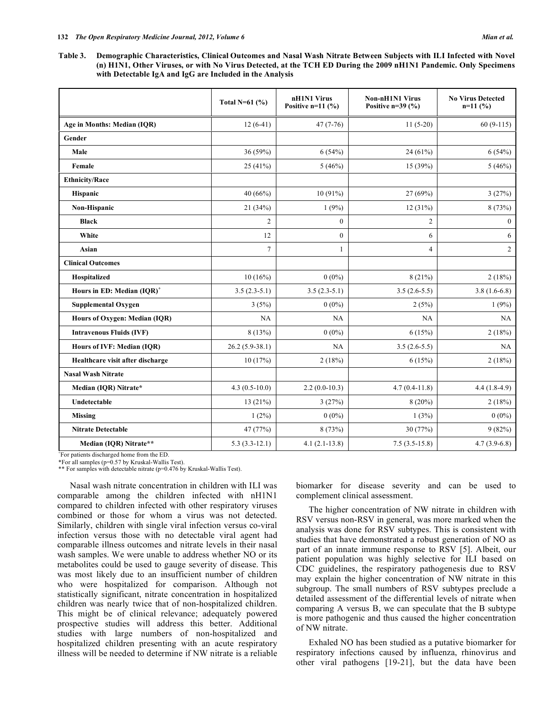**Table 3. Demographic Characteristics, Clinical Outcomes and Nasal Wash Nitrate Between Subjects with ILI Infected with Novel (n) H1N1, Other Viruses, or with No Virus Detected, at the TCH ED During the 2009 nH1N1 Pandemic. Only Specimens with Detectable IgA and IgG are Included in the Analysis** 

|                                        | Total N= $61$ (%) | nH1N1 Virus<br>Positive $n=11$ (%) | Non-nH1N1 Virus<br>Positive $n=39$ (%) | <b>No Virus Detected</b><br>$n=11(%)$ |
|----------------------------------------|-------------------|------------------------------------|----------------------------------------|---------------------------------------|
| Age in Months: Median (IQR)            | $12(6-41)$        | $47(7-76)$                         | $11(5-20)$                             | $60(9-115)$                           |
| Gender                                 |                   |                                    |                                        |                                       |
| Male                                   | 36(59%)           | 6(54%)                             | 24 (61%)                               | 6(54%)                                |
| Female                                 | 25(41%)           | 5(46%)                             | 15 (39%)                               | 5(46%)                                |
| <b>Ethnicity/Race</b>                  |                   |                                    |                                        |                                       |
| Hispanic                               | 40 (66%)          | 10 (91%)                           | 27 (69%)                               | 3(27%)                                |
| Non-Hispanic                           | 21 (34%)          | 1(9%)                              | 12(31%)                                | 8 (73%)                               |
| <b>Black</b>                           | 2                 | $\boldsymbol{0}$                   | 2                                      | $\mathbf{0}$                          |
| White                                  | 12                | $\overline{0}$                     | 6                                      | 6                                     |
| Asian                                  | 7                 | $\mathbf{1}$                       | 4                                      | $\overline{c}$                        |
| <b>Clinical Outcomes</b>               |                   |                                    |                                        |                                       |
| Hospitalized                           | 10(16%)           | $0(0\%)$                           | 8(21%)                                 | 2(18%)                                |
| Hours in ED: Median (IQR) <sup>+</sup> | $3.5(2.3-5.1)$    | $3.5(2.3-5.1)$                     | $3.5(2.6-5.5)$                         | $3.8(1.6-6.8)$                        |
| <b>Supplemental Oxygen</b>             | 3(5%)             | $0(0\%)$                           | 2(5%)                                  | 1(9%)                                 |
| Hours of Oxygen: Median (IQR)          | NA                | NA                                 | NA                                     | NA                                    |
| <b>Intravenous Fluids (IVF)</b>        | 8(13%)            | $0(0\%)$                           | 6(15%)                                 | 2(18%)                                |
| Hours of IVF: Median (IQR)             | $26.2(5.9-38.1)$  | NA                                 | $3.5(2.6-5.5)$                         | NA                                    |
| Healthcare visit after discharge       | 10(17%)           | 2(18%)                             | 6(15%)                                 | 2(18%)                                |
| <b>Nasal Wash Nitrate</b>              |                   |                                    |                                        |                                       |
| Median (IQR) Nitrate*                  | $4.3(0.5-10.0)$   | $2.2(0.0-10.3)$                    | $4.7(0.4-11.8)$                        | $4.4(1.8-4.9)$                        |
| Undetectable                           | 13(21%)           | 3(27%)                             | $8(20\%)$                              | 2(18%)                                |
| <b>Missing</b>                         | $1(2\%)$          | $0(0\%)$                           | 1(3%)                                  | $0(0\%)$                              |
| <b>Nitrate Detectable</b>              | 47 (77%)          | 8 (73%)                            | 30 (77%)                               | 9(82%)                                |
| Median (IQR) Nitrate**                 | $5.3(3.3-12.1)$   | $4.1(2.1-13.8)$                    | $7.5(3.5-15.8)$                        | $4.7(3.9-6.8)$                        |

+ For patients discharged home from the ED.

\*For all samples (p=0.57 by Kruskal-Wallis Test). \*\* For samples with detectable nitrate (p=0.476 by Kruskal-Wallis Test).

 Nasal wash nitrate concentration in children with ILI was comparable among the children infected with nH1N1 compared to children infected with other respiratory viruses combined or those for whom a virus was not detected. Similarly, children with single viral infection versus co-viral infection versus those with no detectable viral agent had comparable illness outcomes and nitrate levels in their nasal wash samples. We were unable to address whether NO or its metabolites could be used to gauge severity of disease. This was most likely due to an insufficient number of children who were hospitalized for comparison. Although not statistically significant, nitrate concentration in hospitalized children was nearly twice that of non-hospitalized children. This might be of clinical relevance; adequately powered prospective studies will address this better. Additional studies with large numbers of non-hospitalized and hospitalized children presenting with an acute respiratory illness will be needed to determine if NW nitrate is a reliable biomarker for disease severity and can be used to complement clinical assessment.

 The higher concentration of NW nitrate in children with RSV versus non-RSV in general, was more marked when the analysis was done for RSV subtypes. This is consistent with studies that have demonstrated a robust generation of NO as part of an innate immune response to RSV [5]. Albeit, our patient population was highly selective for ILI based on CDC guidelines, the respiratory pathogenesis due to RSV may explain the higher concentration of NW nitrate in this subgroup. The small numbers of RSV subtypes preclude a detailed assessment of the differential levels of nitrate when comparing A versus B, we can speculate that the B subtype is more pathogenic and thus caused the higher concentration of NW nitrate.

 Exhaled NO has been studied as a putative biomarker for respiratory infections caused by influenza, rhinovirus and other viral pathogens [19-21], but the data have been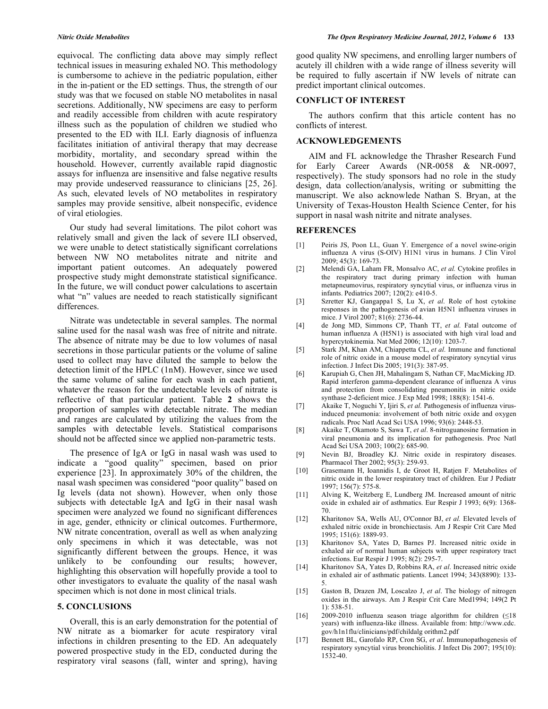equivocal. The conflicting data above may simply reflect technical issues in measuring exhaled NO. This methodology is cumbersome to achieve in the pediatric population, either in the in-patient or the ED settings. Thus, the strength of our study was that we focused on stable NO metabolites in nasal secretions. Additionally, NW specimens are easy to perform and readily accessible from children with acute respiratory illness such as the population of children we studied who presented to the ED with ILI. Early diagnosis of influenza facilitates initiation of antiviral therapy that may decrease morbidity, mortality, and secondary spread within the household. However, currently available rapid diagnostic assays for influenza are insensitive and false negative results may provide undeserved reassurance to clinicians [25, 26]. As such, elevated levels of NO metabolites in respiratory samples may provide sensitive, albeit nonspecific, evidence of viral etiologies.

 Our study had several limitations. The pilot cohort was relatively small and given the lack of severe ILI observed, we were unable to detect statistically significant correlations between NW NO metabolites nitrate and nitrite and important patient outcomes. An adequately powered prospective study might demonstrate statistical significance. In the future, we will conduct power calculations to ascertain what "n" values are needed to reach statistically significant differences.

 Nitrate was undetectable in several samples. The normal saline used for the nasal wash was free of nitrite and nitrate. The absence of nitrate may be due to low volumes of nasal secretions in those particular patients or the volume of saline used to collect may have diluted the sample to below the detection limit of the HPLC (1nM). However, since we used the same volume of saline for each wash in each patient, whatever the reason for the undetectable levels of nitrate is reflective of that particular patient. Table **2** shows the proportion of samples with detectable nitrate. The median and ranges are calculated by utilizing the values from the samples with detectable levels. Statistical comparisons should not be affected since we applied non-parametric tests.

 The presence of IgA or IgG in nasal wash was used to indicate a "good quality" specimen, based on prior experience [23]. In approximately 30% of the children, the nasal wash specimen was considered "poor quality" based on Ig levels (data not shown). However, when only those subjects with detectable IgA and IgG in their nasal wash specimen were analyzed we found no significant differences in age, gender, ethnicity or clinical outcomes. Furthermore, NW nitrate concentration, overall as well as when analyzing only specimens in which it was detectable, was not significantly different between the groups. Hence, it was unlikely to be confounding our results; however, highlighting this observation will hopefully provide a tool to other investigators to evaluate the quality of the nasal wash specimen which is not done in most clinical trials.

#### **5. CONCLUSIONS**

 Overall, this is an early demonstration for the potential of NW nitrate as a biomarker for acute respiratory viral infections in children presenting to the ED. An adequately powered prospective study in the ED, conducted during the respiratory viral seasons (fall, winter and spring), having

good quality NW specimens, and enrolling larger numbers of acutely ill children with a wide range of illness severity will be required to fully ascertain if NW levels of nitrate can predict important clinical outcomes.

#### **CONFLICT OF INTEREST**

 The authors confirm that this article content has no conflicts of interest.

#### **ACKNOWLEDGEMENTS**

 AIM and FL acknowledge the Thrasher Research Fund for Early Career Awards (NR-0058 & NR-0097, respectively). The study sponsors had no role in the study design, data collection/analysis, writing or submitting the manuscript. We also acknowlede Nathan S. Bryan, at the University of Texas-Houston Health Science Center, for his support in nasal wash nitrite and nitrate analyses.

#### **REFERENCES**

- [1] Peiris JS, Poon LL, Guan Y. Emergence of a novel swine-origin influenza A virus (S-OIV) H1N1 virus in humans. J Clin Virol 2009; 45(3): 169-73.
- [2] Melendi GA, Laham FR, Monsalvo AC, *et al.* Cytokine profiles in the respiratory tract during primary infection with human metapneumovirus, respiratory syncytial virus, or influenza virus in infants. Pediatrics 2007; 120(2): e410-5.
- [3] Szretter KJ, Gangappa1 S, Lu X, *et al*. Role of host cytokine responses in the pathogenesis of avian H5N1 influenza viruses in mice. J Virol 2007; 81(6): 2736-44.
- [4] de Jong MD, Simmons CP, Thanh TT, *et al.* Fatal outcome of human influenza A (H5N1) is associated with high viral load and hypercytokinemia. Nat Med 2006; 12(10): 1203-7.
- [5] Stark JM, Khan AM, Chiappetta CL, *et al.* Immune and functional role of nitric oxide in a mouse model of respiratory syncytial virus infection. J Infect Dis 2005; 191(3): 387-95.
- [6] Karupiah G, Chen JH, Mahalingam S, Nathan CF, MacMicking JD. Rapid interferon gamma-dependent clearance of influenza A virus and protection from consolidating pneumonitis in nitric oxide synthase 2-deficient mice. J Exp Med 1998; 188(8): 1541-6.
- [7] Akaike T, Noguchi Y, Ijiri S, *et al.* Pathogenesis of influenza virusinduced pneumonia: involvement of both nitric oxide and oxygen radicals. Proc Natl Acad Sci USA 1996; 93(6): 2448-53.
- [8] Akaike T, Okamoto S, Sawa T, *et al*. 8-nitroguanosine formation in viral pneumonia and its implication for pathogenesis. Proc Natl Acad Sci USA 2003; 100(2): 685-90.
- [9] Nevin BJ, Broadley KJ. Nitric oxide in respiratory diseases. Pharmacol Ther 2002; 95(3): 259-93.
- [10] Grasemann H, Ioannidis I, de Groot H, Ratjen F. Metabolites of nitric oxide in the lower respiratory tract of children. Eur J Pediatr 1997; 156(7): 575-8.
- [11] Alving K, Weitzberg E, Lundberg JM. Increased amount of nitric oxide in exhaled air of asthmatics. Eur Respir J 1993; 6(9): 1368- 70.
- [12] Kharitonov SA, Wells AU, O'Connor BJ, *et al.* Elevated levels of exhaled nitric oxide in bronchiectasis. Am J Respir Crit Care Med 1995; 151(6): 1889-93.
- [13] Kharitonov SA, Yates D, Barnes PJ. Increased nitric oxide in exhaled air of normal human subjects with upper respiratory tract infections. Eur Respir J 1995; 8(2): 295-7.
- [14] Kharitonov SA, Yates D, Robbins RA, *et al*. Increased nitric oxide in exhaled air of asthmatic patients. Lancet 1994; 343(8890): 133- 5.
- [15] Gaston B, Drazen JM, Loscalzo J, *et al*. The biology of nitrogen oxides in the airways. Am J Respir Crit Care Med1994; 149(2 Pt 1): 538-51.
- [16] 2009-2010 influenza season triage algorithm for children  $(18)$ years) with influenza-like illness. Available from: http://www.cdc. gov/h1n1flu/clinicians/pdf/childalg orithm2.pdf
- [17] Bennett BL, Garofalo RP, Cron SG, *et al*. Immunopathogenesis of respiratory syncytial virus bronchiolitis. J Infect Dis 2007; 195(10): 1532-40.